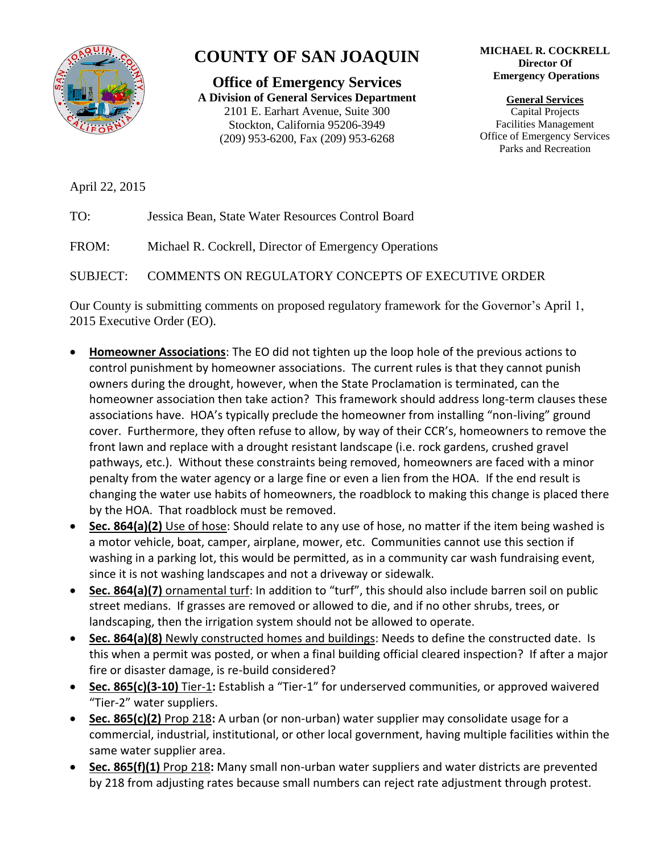

## **COUNTY OF SAN JOAQUIN**

**Office of Emergency Services A Division of General Services Department** 2101 E. Earhart Avenue, Suite 300 Stockton, California 95206-3949 (209) 953-6200, Fax (209) 953-6268

## **MICHAEL R. COCKRELL Director Of Emergency Operations**

**General Services** Capital Projects Facilities Management Office of Emergency Services Parks and Recreation

April 22, 2015

TO: Jessica Bean, State Water Resources Control Board

FROM: Michael R. Cockrell, Director of Emergency Operations

SUBJECT: COMMENTS ON REGULATORY CONCEPTS OF EXECUTIVE ORDER

Our County is submitting comments on proposed regulatory framework for the Governor's April 1, 2015 Executive Order (EO).

- **Homeowner Associations**: The EO did not tighten up the loop hole of the previous actions to control punishment by homeowner associations. The current rules is that they cannot punish owners during the drought, however, when the State Proclamation is terminated, can the homeowner association then take action? This framework should address long-term clauses these associations have. HOA's typically preclude the homeowner from installing "non-living" ground cover. Furthermore, they often refuse to allow, by way of their CCR's, homeowners to remove the front lawn and replace with a drought resistant landscape (i.e. rock gardens, crushed gravel pathways, etc.). Without these constraints being removed, homeowners are faced with a minor penalty from the water agency or a large fine or even a lien from the HOA. If the end result is changing the water use habits of homeowners, the roadblock to making this change is placed there by the HOA. That roadblock must be removed.
- **Sec. 864(a)(2)** Use of hose: Should relate to any use of hose, no matter if the item being washed is a motor vehicle, boat, camper, airplane, mower, etc. Communities cannot use this section if washing in a parking lot, this would be permitted, as in a community car wash fundraising event, since it is not washing landscapes and not a driveway or sidewalk.
- **Sec. 864(a)(7)** ornamental turf: In addition to "turf", this should also include barren soil on public street medians. If grasses are removed or allowed to die, and if no other shrubs, trees, or landscaping, then the irrigation system should not be allowed to operate.
- **Sec. 864(a)(8)** Newly constructed homes and buildings: Needs to define the constructed date. Is this when a permit was posted, or when a final building official cleared inspection? If after a major fire or disaster damage, is re-build considered?
- **Sec. 865(c)(3-10)** Tier-1**:** Establish a "Tier-1" for underserved communities, or approved waivered "Tier-2" water suppliers.
- **Sec. 865(c)(2)** Prop 218**:** A urban (or non-urban) water supplier may consolidate usage for a commercial, industrial, institutional, or other local government, having multiple facilities within the same water supplier area.
- **Sec. 865(f)(1)** Prop 218**:** Many small non-urban water suppliers and water districts are prevented by 218 from adjusting rates because small numbers can reject rate adjustment through protest.